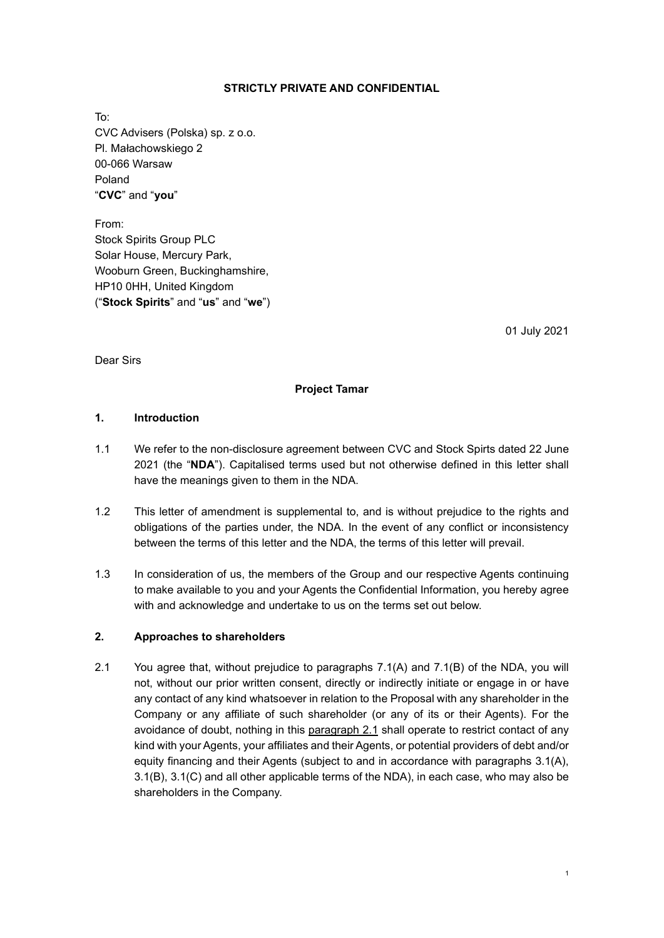## STRICTLY PRIVATE AND CONFIDENTIAL

To: CVC Advisers (Polska) sp. z o.o. Pl. Małachowskiego 2 00-066 Warsaw Poland "CVC" and "you"

From: Stock Spirits Group PLC Solar House, Mercury Park, Wooburn Green, Buckinghamshire, HP10 0HH, United Kingdom ("Stock Spirits" and "us" and "we")

01 July 2021

Dear Sirs

## Project Tamar

### 1. Introduction

- 1.1 We refer to the non-disclosure agreement between CVC and Stock Spirts dated 22 June 2021 (the "NDA"). Capitalised terms used but not otherwise defined in this letter shall have the meanings given to them in the NDA.
- 1.2 This letter of amendment is supplemental to, and is without prejudice to the rights and obligations of the parties under, the NDA. In the event of any conflict or inconsistency between the terms of this letter and the NDA, the terms of this letter will prevail.
- 1.3 In consideration of us, the members of the Group and our respective Agents continuing to make available to you and your Agents the Confidential Information, you hereby agree with and acknowledge and undertake to us on the terms set out below.

## 2. Approaches to shareholders

2.1 You agree that, without prejudice to paragraphs 7.1(A) and 7.1(B) of the NDA, you will not, without our prior written consent, directly or indirectly initiate or engage in or have any contact of any kind whatsoever in relation to the Proposal with any shareholder in the Company or any affiliate of such shareholder (or any of its or their Agents). For the avoidance of doubt, nothing in this paragraph 2.1 shall operate to restrict contact of any kind with your Agents, your affiliates and their Agents, or potential providers of debt and/or equity financing and their Agents (subject to and in accordance with paragraphs 3.1(A), 3.1(B), 3.1(C) and all other applicable terms of the NDA), in each case, who may also be shareholders in the Company.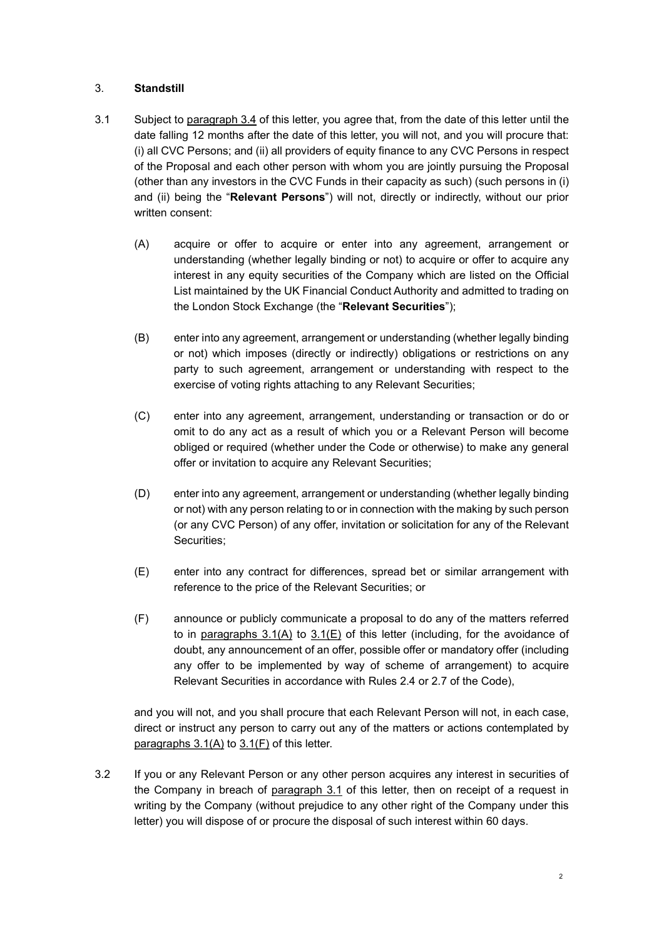## 3. Standstill

- 3.1 Subject to paragraph 3.4 of this letter, you agree that, from the date of this letter until the date falling 12 months after the date of this letter, you will not, and you will procure that: (i) all CVC Persons; and (ii) all providers of equity finance to any CVC Persons in respect of the Proposal and each other person with whom you are jointly pursuing the Proposal (other than any investors in the CVC Funds in their capacity as such) (such persons in (i) and (ii) being the "Relevant Persons") will not, directly or indirectly, without our prior written consent:
	- (A) acquire or offer to acquire or enter into any agreement, arrangement or understanding (whether legally binding or not) to acquire or offer to acquire any interest in any equity securities of the Company which are listed on the Official List maintained by the UK Financial Conduct Authority and admitted to trading on the London Stock Exchange (the "Relevant Securities");
	- (B) enter into any agreement, arrangement or understanding (whether legally binding or not) which imposes (directly or indirectly) obligations or restrictions on any party to such agreement, arrangement or understanding with respect to the exercise of voting rights attaching to any Relevant Securities;
	- (C) enter into any agreement, arrangement, understanding or transaction or do or omit to do any act as a result of which you or a Relevant Person will become obliged or required (whether under the Code or otherwise) to make any general offer or invitation to acquire any Relevant Securities;
	- (D) enter into any agreement, arrangement or understanding (whether legally binding or not) with any person relating to or in connection with the making by such person (or any CVC Person) of any offer, invitation or solicitation for any of the Relevant Securities;
	- (E) enter into any contract for differences, spread bet or similar arrangement with reference to the price of the Relevant Securities; or
	- (F) announce or publicly communicate a proposal to do any of the matters referred to in paragraphs 3.1(A) to 3.1(E) of this letter (including, for the avoidance of doubt, any announcement of an offer, possible offer or mandatory offer (including any offer to be implemented by way of scheme of arrangement) to acquire Relevant Securities in accordance with Rules 2.4 or 2.7 of the Code),

and you will not, and you shall procure that each Relevant Person will not, in each case, direct or instruct any person to carry out any of the matters or actions contemplated by paragraphs 3.1(A) to 3.1(F) of this letter.

3.2 If you or any Relevant Person or any other person acquires any interest in securities of the Company in breach of paragraph 3.1 of this letter, then on receipt of a request in writing by the Company (without prejudice to any other right of the Company under this letter) you will dispose of or procure the disposal of such interest within 60 days.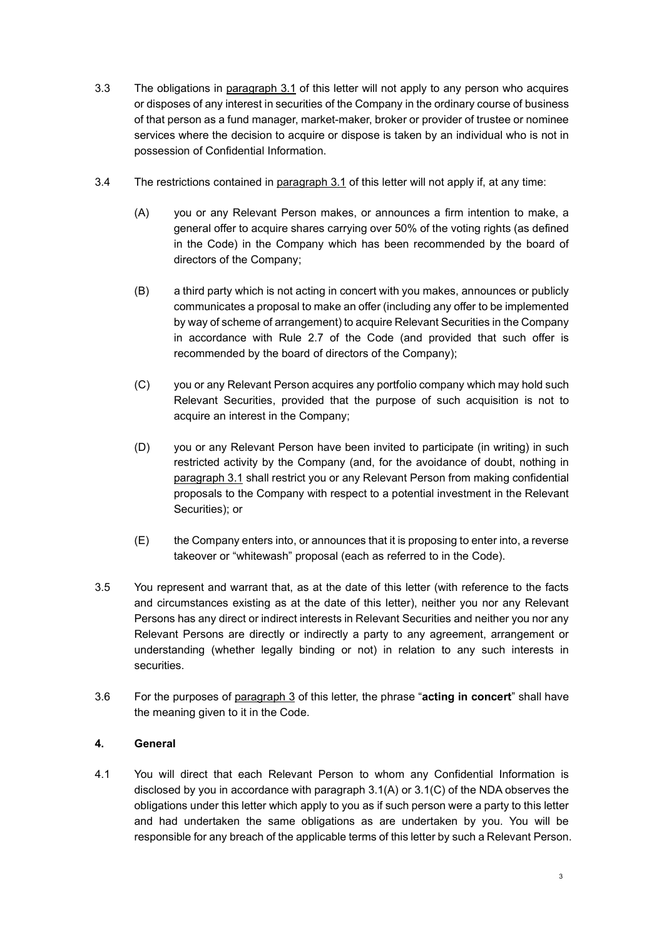- 3.3 The obligations in paragraph 3.1 of this letter will not apply to any person who acquires or disposes of any interest in securities of the Company in the ordinary course of business of that person as a fund manager, market-maker, broker or provider of trustee or nominee services where the decision to acquire or dispose is taken by an individual who is not in possession of Confidential Information.
- 3.4 The restrictions contained in paragraph 3.1 of this letter will not apply if, at any time:
	- (A) you or any Relevant Person makes, or announces a firm intention to make, a general offer to acquire shares carrying over 50% of the voting rights (as defined in the Code) in the Company which has been recommended by the board of directors of the Company;
	- (B) a third party which is not acting in concert with you makes, announces or publicly communicates a proposal to make an offer (including any offer to be implemented by way of scheme of arrangement) to acquire Relevant Securities in the Company in accordance with Rule 2.7 of the Code (and provided that such offer is recommended by the board of directors of the Company);
	- (C) you or any Relevant Person acquires any portfolio company which may hold such Relevant Securities, provided that the purpose of such acquisition is not to acquire an interest in the Company;
	- (D) you or any Relevant Person have been invited to participate (in writing) in such restricted activity by the Company (and, for the avoidance of doubt, nothing in paragraph 3.1 shall restrict you or any Relevant Person from making confidential proposals to the Company with respect to a potential investment in the Relevant Securities); or
	- (E) the Company enters into, or announces that it is proposing to enter into, a reverse takeover or "whitewash" proposal (each as referred to in the Code).
- 3.5 You represent and warrant that, as at the date of this letter (with reference to the facts and circumstances existing as at the date of this letter), neither you nor any Relevant Persons has any direct or indirect interests in Relevant Securities and neither you nor any Relevant Persons are directly or indirectly a party to any agreement, arrangement or understanding (whether legally binding or not) in relation to any such interests in securities.
- 3.6 For the purposes of paragraph 3 of this letter, the phrase "acting in concert" shall have the meaning given to it in the Code.

# 4. General

4.1 You will direct that each Relevant Person to whom any Confidential Information is disclosed by you in accordance with paragraph 3.1(A) or 3.1(C) of the NDA observes the obligations under this letter which apply to you as if such person were a party to this letter and had undertaken the same obligations as are undertaken by you. You will be responsible for any breach of the applicable terms of this letter by such a Relevant Person.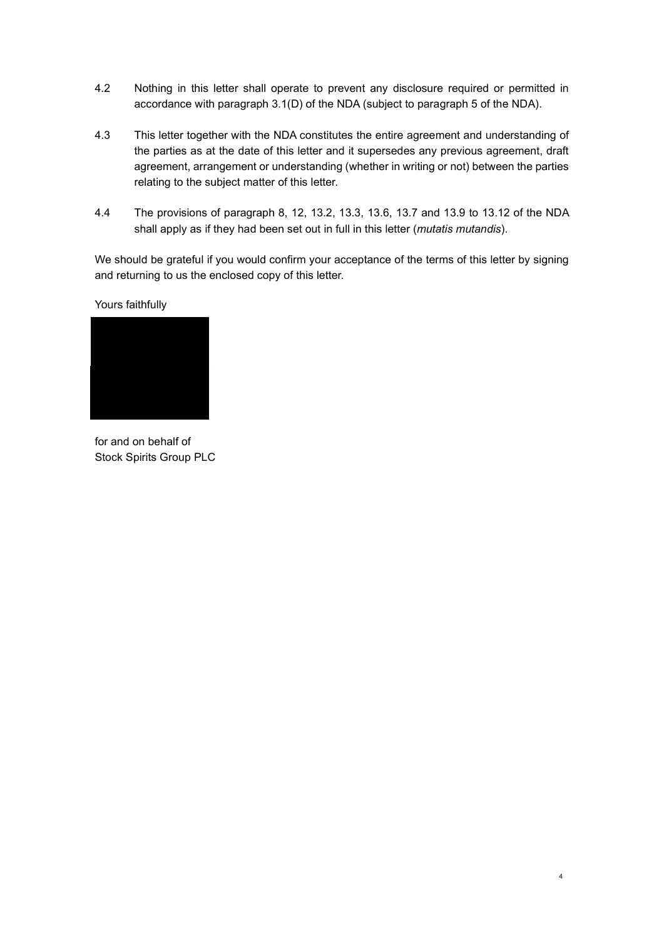- 4.2 Nothing in this letter shall operate to prevent any disclosure required or permitted in accordance with paragraph 3.1(D) of the NDA (subject to paragraph 5 of the NDA).
- 4.3 This letter together with the NDA constitutes the entire agreement and understanding of the parties as at the date of this letter and it supersedes any previous agreement, draft agreement, arrangement or understanding (whether in writing or not) between the parties relating to the subject matter of this letter.
- 4.4 The provisions of paragraph 8, 12, 13.2, 13.3, 13.6, 13.7 and 13.9 to 13.12 of the NDA shall apply as if they had been set out in full in this letter (*mutatis mutandis*).

We should be grateful if you would confirm your acceptance of the terms of this letter by signing and returning to us the enclosed copy of this letter.

Yours faithfully



for and on behalf of Stock Spirits Group PLC